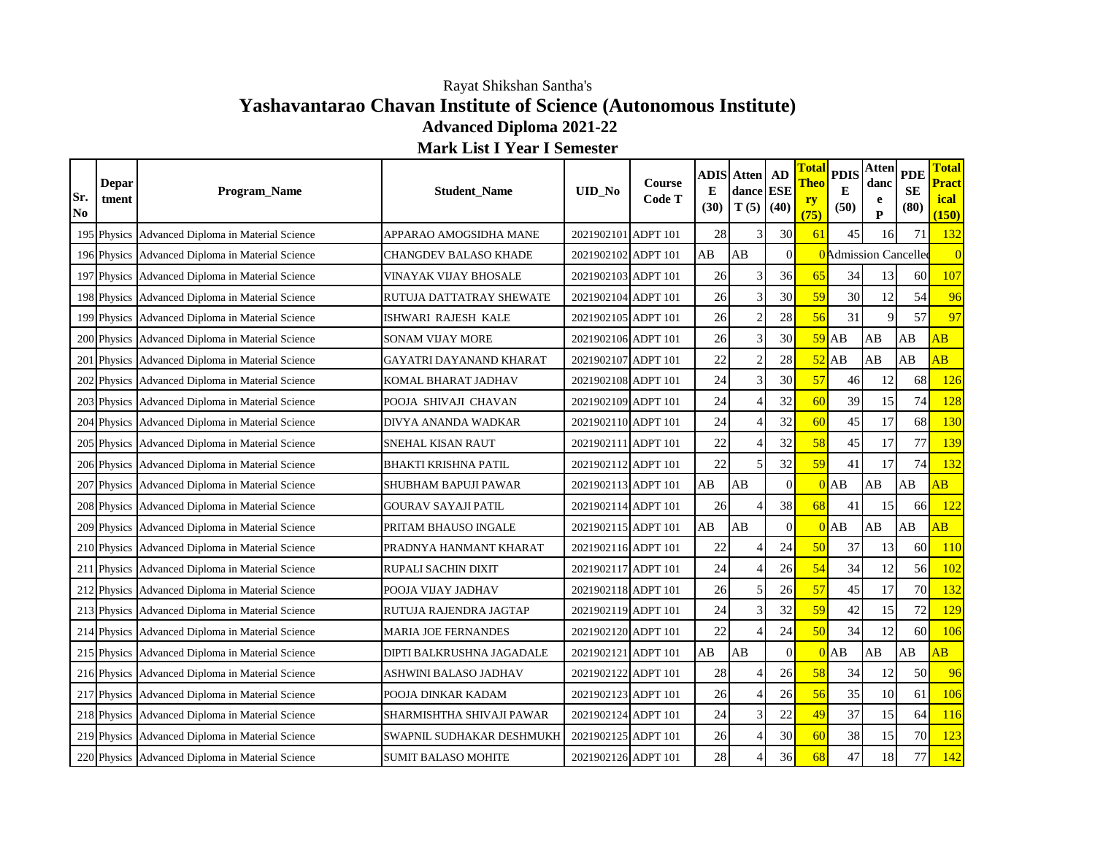## **Yashavantarao Chavan Institute of Science (Autonomous Institute) Advanced Diploma 2021-22** Rayat Shikshan Santha's

**Total Pract ical (150)**

**Sr. No**

## **Depar tment Program\_Name Student\_Name DID\_No Course Code T ADIS E (30) Atten dance ESE T (5) AD (40) Total Theo ry (75) PDIS E (50) Atten danc e P PDE SE (80)** 195 Physics Advanced Diploma in Material Science APPARAO AMOGSIDHA MANE 2021902101 ADPT 101 28 3 30 61 45 16 71 32 196 Physics Advanced Diploma in Material Science CHANGDEV BALASO KHADE 2021902102 ADPT 101 AB AB 0 0 0 197 Physics Advanced Diploma in Material Science VINAYAK VIJAY BHOSALE 2021902103 ADPT 101 26 36 36 65 34 13 60 107 198 Physics Advanced Diploma in Material Science RUTUJA DATTATRAY SHEWATE 2021902104 ADPT 101 26 3 30 30 59 30 12 54 96 199 Physics Advanced Diploma in Material Science ISHWARI RAJESH KALE 2021902105 ADPT 101 26 2 28 56 31 9 57 97 200 Physics Advanced Diploma in Material Science SONAM VIJAY MORE 2021902106 ADPT 101 26 3 30 59 AB AB AB AB 201 Physics Advanced Diploma in Material Science GAYATRI DAYANAND KHARAT 2021902107 ADPT 101 22 28 52 AB AB AB 202 Physics Advanced Diploma in Material Science KOMAL BHARAT JADHAV 2021902108 ADPT 101 24 3 30 57 46 12 68 126 203 Physics Advanced Diploma in Material Science POOJA SHIVAJI CHAVAN 2021902109 ADPT 101 24 4 32 60 39 15 74 128 204 Physics Advanced Diploma in Material Science DIVYA ANANDA WADKAR 2021902110 ADPT 101 24 4 32 60 45 17 68 130 205 Physics Advanced Diploma in Material Science SNEHAL KISAN RAUT 2021902111 ADPT 101 22 4 32 58 45 17 77 139 206 Physics Advanced Diploma in Material Science BHAKTI KRISHNA PATIL 2021902112 ADPT 101 22 5 32 59 41 17 74 132 207 Physics Advanced Diploma in Material Science SHUBHAM BAPUJI PAWAR 2021902113 ADPT 101 AB AB 0 0 0 AB AB AB 208 Physics Advanced Diploma in Material Science GOURAV SAYAJI PATIL 2021902114 ADPT 101 26 4 38 68 41 15 66 122 209 Physics Advanced Diploma in Material Science PRITAM BHAUSO INGALE 2021902115 ADPT 101 AB AB 0 0 0 AB AB AB 210 Physics Advanced Diploma in Material Science PRADNYA HANMANT KHARAT 2021902116 ADPT 101 22 4 24 50 37 13 60 110 211 Physics Advanced Diploma in Material Science RUPALI SACHIN DIXIT 2021902117 ADPT 101 24 4 26 54 34 12 56 102 212 Physics Advanced Diploma in Material Science POOJA VIJAY JADHAV 2021902118 ADPT 101 26 5 26 57 45 17 70 132 213 Physics Advanced Diploma in Material Science RUTUJA RAJENDRA JAGTAP 2021902119 ADPT 101 24 3 32 59 42 15 72 129 214 Physics Advanced Diploma in Material Science MARIA JOE FERNANDES 2021902120 ADPT 101 22 4 24 50 34 12 60 106 215 Physics Advanced Diploma in Material Science DIPTI BALKRUSHNA JAGADALE 2021902121 ADPT 101 AB AB 0 0 0 AB AB AB AB 216 Physics Advanced Diploma in Material Science ASHWINI BALASO JADHAV 2021902122 ADPT 101 28 4 26 58 34 12 50 96 217 Physics Advanced Diploma in Material Science POOJA DINKAR KADAM 2021902123 ADPT 101 26 4 26 56 35 10 61 106 218 Physics Advanced Diploma in Material Science SHARMISHTHA SHIVAJI PAWAR 2021902124 ADPT 101 24 3 22 49 37 15 64 16 **Admission Cancelle Mark List I Year I Semester**

219 Physics Advanced Diploma in Material Science SWAPNIL SUDHAKAR DESHMUKH 2021902125 ADPT 101 26 4 30 60 38 15 70 123 220 Physics Advanced Diploma in Material Science SUMIT BALASO MOHITE 2021902126 ADPT 101 28 4 36 68 47 18 77 142